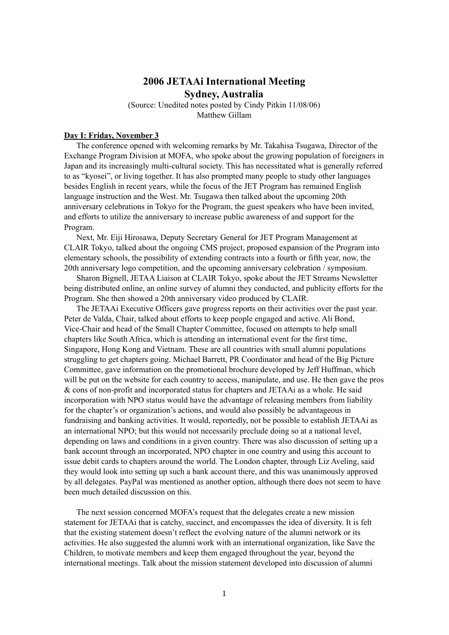## **2006 JETAAi International Meeting Sydney, Australia**

(Source: Unedited notes posted by Cindy Pitkin 11/08/06) Matthew Gillam

## **Day I: Friday, November 3**

The conference opened with welcoming remarks by Mr. Takahisa Tsugawa, Director of the Exchange Program Division at MOFA, who spoke about the growing population of foreigners in Japan and its increasingly multi-cultural society. This has necessitated what is generally referred to as "kyosei", or living together. It has also prompted many people to study other languages besides English in recent years, while the focus of the JET Program has remained English language instruction and the West. Mr. Tsugawa then talked about the upcoming 20th anniversary celebrations in Tokyo for the Program, the guest speakers who have been invited, and efforts to utilize the anniversary to increase public awareness of and support for the Program.

Next, Mr. Eiji Hirosawa, Deputy Secretary General for JET Program Management at CLAIR Tokyo, talked about the ongoing CMS project, proposed expansion of the Program into elementary schools, the possibility of extending contracts into a fourth or fifth year, now, the 20th anniversary logo competition, and the upcoming anniversary celebration / symposium.

Sharon Bignell, JETAA Liaison at CLAIR Tokyo, spoke about the JET Streams Newsletter being distributed online, an online survey of alumni they conducted, and publicity efforts for the Program. She then showed a 20th anniversary video produced by CLAIR.

The JETAAi Executive Officers gave progress reports on their activities over the past year. Peter de Valda, Chair, talked about efforts to keep people engaged and active. Ali Bond, Vice-Chair and head of the Small Chapter Committee, focused on attempts to help small chapters like South Africa, which is attending an international event for the first time, Singapore, Hong Kong and Vietnam. These are all countries with small alumni populations struggling to get chapters going. Michael Barrett, PR Coordinator and head of the Big Picture Committee, gave information on the promotional brochure developed by Jeff Huffman, which will be put on the website for each country to access, manipulate, and use. He then gave the pros & cons of non-profit and incorporated status for chapters and JETAAi as a whole. He said incorporation with NPO status would have the advantage of releasing members from liability for the chapter's or organization's actions, and would also possibly be advantageous in fundraising and banking activities. It would, reportedly, not be possible to establish JETAAi as an international NPO; but this would not necessarily preclude doing so at a national level, depending on laws and conditions in a given country. There was also discussion of setting up a bank account through an incorporated, NPO chapter in one country and using this account to issue debit cards to chapters around the world. The London chapter, through Liz Aveling, said they would look into setting up such a bank account there, and this was unanimously approved by all delegates. PayPal was mentioned as another option, although there does not seem to have been much detailed discussion on this.

The next session concerned MOFA's request that the delegates create a new mission statement for JETAAi that is catchy, succinct, and encompasses the idea of diversity. It is felt that the existing statement doesn't reflect the evolving nature of the alumni network or its activities. He also suggested the alumni work with an international organization, like Save the Children, to motivate members and keep them engaged throughout the year, beyond the international meetings. Talk about the mission statement developed into discussion of alumni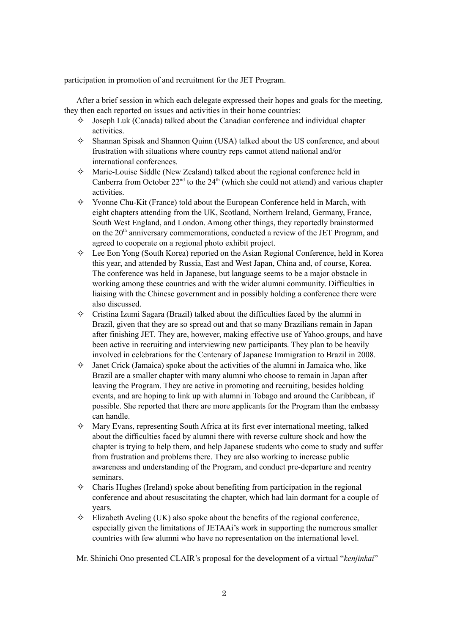participation in promotion of and recruitment for the JET Program.

After a brief session in which each delegate expressed their hopes and goals for the meeting, they then each reported on issues and activities in their home countries:

- $\diamond$  Joseph Luk (Canada) talked about the Canadian conference and individual chapter activities.
- $\diamond$  Shannan Spisak and Shannon Quinn (USA) talked about the US conference, and about frustration with situations where country reps cannot attend national and/or international conferences.
- ✧ Marie-Louise Siddle (New Zealand) talked about the regional conference held in Canberra from October  $22<sup>nd</sup>$  to the  $24<sup>th</sup>$  (which she could not attend) and various chapter activities.
- ✧ Yvonne Chu-Kit (France) told about the European Conference held in March, with eight chapters attending from the UK, Scotland, Northern Ireland, Germany, France, South West England, and London. Among other things, they reportedly brainstormed on the 20<sup>th</sup> anniversary commemorations, conducted a review of the JET Program, and agreed to cooperate on a regional photo exhibit project.
- $\Diamond$  Lee Eon Yong (South Korea) reported on the Asian Regional Conference, held in Korea this year, and attended by Russia, East and West Japan, China and, of course, Korea. The conference was held in Japanese, but language seems to be a major obstacle in working among these countries and with the wider alumni community. Difficulties in liaising with the Chinese government and in possibly holding a conference there were also discussed.
- ✧ Cristina Izumi Sagara (Brazil) talked about the difficulties faced by the alumni in Brazil, given that they are so spread out and that so many Brazilians remain in Japan after finishing JET. They are, however, making effective use of Yahoo.groups, and have been active in recruiting and interviewing new participants. They plan to be heavily involved in celebrations for the Centenary of Japanese Immigration to Brazil in 2008.
- $\diamond$  Janet Crick (Jamaica) spoke about the activities of the alumni in Jamaica who, like Brazil are a smaller chapter with many alumni who choose to remain in Japan after leaving the Program. They are active in promoting and recruiting, besides holding events, and are hoping to link up with alumni in Tobago and around the Caribbean, if possible. She reported that there are more applicants for the Program than the embassy can handle.
- $\diamond$  Mary Evans, representing South Africa at its first ever international meeting, talked about the difficulties faced by alumni there with reverse culture shock and how the chapter is trying to help them, and help Japanese students who come to study and suffer from frustration and problems there. They are also working to increase public awareness and understanding of the Program, and conduct pre-departure and reentry seminars.
- $\diamond$  Charis Hughes (Ireland) spoke about benefiting from participation in the regional conference and about resuscitating the chapter, which had lain dormant for a couple of years.
- $\Diamond$  Elizabeth Aveling (UK) also spoke about the benefits of the regional conference, especially given the limitations of JETAAi's work in supporting the numerous smaller countries with few alumni who have no representation on the international level.

Mr. Shinichi Ono presented CLAIR's proposal for the development of a virtual "*kenjinkai*"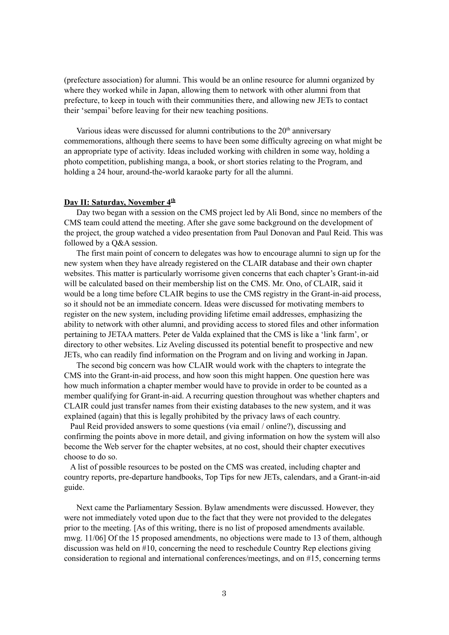(prefecture association) for alumni. This would be an online resource for alumni organized by where they worked while in Japan, allowing them to network with other alumni from that prefecture, to keep in touch with their communities there, and allowing new JETs to contact their 'sempai' before leaving for their new teaching positions.

Various ideas were discussed for alumni contributions to the  $20<sup>th</sup>$  anniversary commemorations, although there seems to have been some difficulty agreeing on what might be an appropriate type of activity. Ideas included working with children in some way, holding a photo competition, publishing manga, a book, or short stories relating to the Program, and holding a 24 hour, around-the-world karaoke party for all the alumni.

## **Day II: Saturday, November 4 th**

Day two began with a session on the CMS project led by Ali Bond, since no members of the CMS team could attend the meeting. After she gave some background on the development of the project, the group watched a video presentation from Paul Donovan and Paul Reid. This was followed by a Q&A session.

The first main point of concern to delegates was how to encourage alumni to sign up for the new system when they have already registered on the CLAIR database and their own chapter websites. This matter is particularly worrisome given concerns that each chapter's Grant-in-aid will be calculated based on their membership list on the CMS. Mr. Ono, of CLAIR, said it would be a long time before CLAIR begins to use the CMS registry in the Grant-in-aid process, so it should not be an immediate concern. Ideas were discussed for motivating members to register on the new system, including providing lifetime email addresses, emphasizing the ability to network with other alumni, and providing access to stored files and other information pertaining to JETAA matters. Peter de Valda explained that the CMS is like a 'link farm', or directory to other websites. Liz Aveling discussed its potential benefit to prospective and new JETs, who can readily find information on the Program and on living and working in Japan.

The second big concern was how CLAIR would work with the chapters to integrate the CMS into the Grant-in-aid process, and how soon this might happen. One question here was how much information a chapter member would have to provide in order to be counted as a member qualifying for Grant-in-aid. A recurring question throughout was whether chapters and CLAIR could just transfer names from their existing databases to the new system, and it was explained (again) that this is legally prohibited by the privacy laws of each country.

Paul Reid provided answers to some questions (via email / online?), discussing and confirming the points above in more detail, and giving information on how the system will also become the Web server for the chapter websites, at no cost, should their chapter executives choose to do so.

A list of possible resources to be posted on the CMS was created, including chapter and country reports, pre-departure handbooks, Top Tips for new JETs, calendars, and a Grant-in-aid guide.

Next came the Parliamentary Session. Bylaw amendments were discussed. However, they were not immediately voted upon due to the fact that they were not provided to the delegates prior to the meeting. [As of this writing, there is no list of proposed amendments available. mwg. 11/06] Of the 15 proposed amendments, no objections were made to 13 of them, although discussion was held on #10, concerning the need to reschedule Country Rep elections giving consideration to regional and international conferences/meetings, and on #15, concerning terms